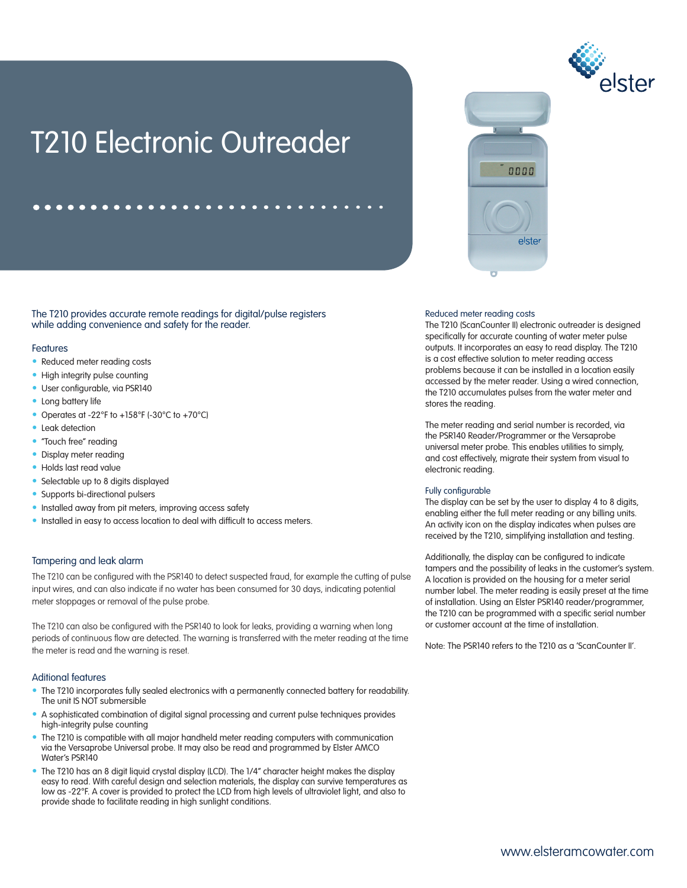

# 0000 elste

# T210 Electronic Outreader

The T210 provides accurate remote readings for digital/pulse registers while adding convenience and safety for the reader.

# **Features**

- Reduced meter reading costs
- High integrity pulse counting
- User configurable, via PSR140
- Long battery life
- Operates at -22°F to +158°F (-30°C to +70°C)
- Leak detection
- "Touch free" reading
- Display meter reading
- Holds last read value
- Selectable up to 8 digits displayed
- Supports bi-directional pulsers
- Installed away from pit meters, improving access safety
- Installed in easy to access location to deal with difficult to access meters.

# Tampering and leak alarm

The T210 can be configured with the PSR140 to detect suspected fraud, for example the cutting of pulse input wires, and can also indicate if no water has been consumed for 30 days, indicating potential meter stoppages or removal of the pulse probe.

The T210 can also be configured with the PSR140 to look for leaks, providing a warning when long periods of continuous flow are detected. The warning is transferred with the meter reading at the time the meter is read and the warning is reset.

## Aditional features

- The T210 incorporates fully sealed electronics with a permanently connected battery for readability. The unit IS NOT submersible
- A sophisticated combination of digital signal processing and current pulse techniques provides high-integrity pulse counting
- The T210 is compatible with all major handheld meter reading computers with communication via the Versaprobe Universal probe. It may also be read and programmed by Elster AMCO Water's PSR140
- The T210 has an 8 digit liquid crystal display (LCD). The 1/4" character height makes the display easy to read. With careful design and selection materials, the display can survive temperatures as low as -22°F. A cover is provided to protect the LCD from high levels of ultraviolet light, and also to provide shade to facilitate reading in high sunlight conditions.

#### Reduced meter reading costs

The T210 (ScanCounter II) electronic outreader is designed specifically for accurate counting of water meter pulse outputs. It incorporates an easy to read display. The T210 is a cost effective solution to meter reading access problems because it can be installed in a location easily accessed by the meter reader. Using a wired connection, the T210 accumulates pulses from the water meter and stores the reading.

The meter reading and serial number is recorded, via the PSR140 Reader/Programmer or the Versaprobe universal meter probe. This enables utilities to simply, and cost effectively, migrate their system from visual to electronic reading.

#### Fully configurable

The display can be set by the user to display 4 to 8 digits, enabling either the full meter reading or any billing units. An activity icon on the display indicates when pulses are received by the T210, simplifying installation and testing.

Additionally, the display can be configured to indicate tampers and the possibility of leaks in the customer's system. A location is provided on the housing for a meter serial number label. The meter reading is easily preset at the time of installation. Using an Elster PSR140 reader/programmer, the T210 can be programmed with a specific serial number or customer account at the time of installation.

Note: The PSR140 refers to the T210 as a 'ScanCounter II'.